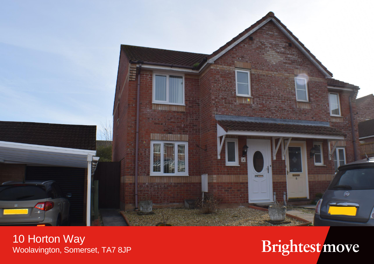

10 Horton Way<br>Woolavington, Somerset, TA7 8JP

## Brightest move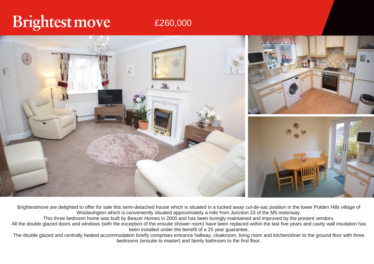## Brightest move

## £260,000



Brightestmove are delighted to offer for sale this semi-detached house which is situated in a tucked away cul-de-sac position in the lower Polden Hills village of Woolavington which is conveniently situated approximately a mile from Junction 23 of the M5 motorway.

This three bedroom home was built by Beazer Homes in 2000 and has been lovingly maintained and improved by the present vendors.

All the double glazed doors and windows (with the exception of the ensuite shower room) have been replaced within the last five years and cavity wall insulation has been installed under the benefit of a 25 year guarantee.

The double glazed and centrally heated accommodation briefly comprises entrance hallway, cloakroom, living room and kitchen/diner to the ground floor with three bedrooms (ensuite to master) and family bathroom to the first floor.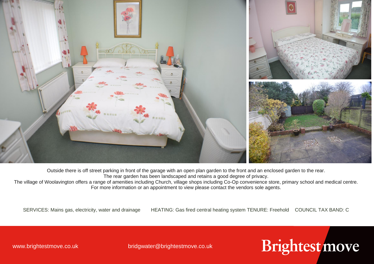

Outside there is off street parking in front of the garage with an open plan garden to the front and an enclosed garden to the rear. The rear garden has been landscaped and retains a good degree of privacy.

The village of Woolavington offers a range of amenities including Church, village shops including Co-Op convenience store, primary school and medical centre. For more information or an appointment to view please contact the vendors sole agents.

SERVICES: Mains gas, electricity, water and drainage HEATING: Gas fired central heating system TENURE: Freehold COUNCIL TAX BAND: C

Brightest move

www.brightestmove.co.uk bridgwater@brightestmove.co.uk